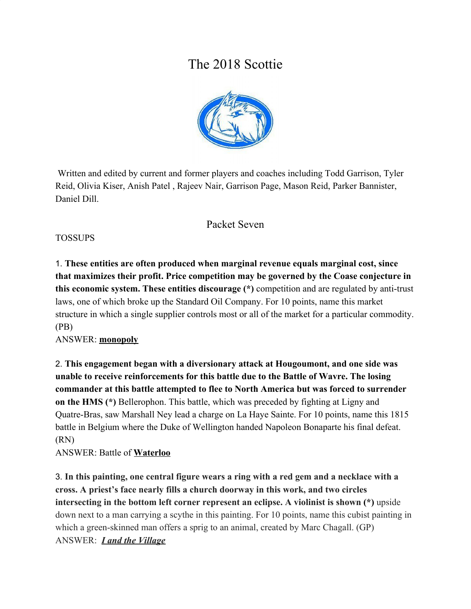# The 2018 Scottie



 Written and edited by current and former players and coaches including Todd Garrison, Tyler Reid, Olivia Kiser, Anish Patel , Rajeev Nair, Garrison Page, Mason Reid, Parker Bannister, Daniel Dill.

# Packet Seven

## TOSSUPS

1. **These entities are often produced when marginal revenue equals marginal cost, since that maximizes their profit. Price competition may be governed by the Coase conjecture in this economic system. These entities discourage (\*)** competition and are regulated by anti-trust laws, one of which broke up the Standard Oil Company. For 10 points, name this market structure in which a single supplier controls most or all of the market for a particular commodity. (PB)

#### ANSWER: **monopoly**

2. **This engagement began with a diversionary attack at Hougoumont, and one side was unable to receive reinforcements for this battle due to the Battle of Wavre. The losing commander at this battle attempted to flee to North America but was forced to surrender on the HMS (\*)** Bellerophon. This battle, which was preceded by fighting at Ligny and Quatre-Bras, saw Marshall Ney lead a charge on La Haye Sainte. For 10 points, name this 1815 battle in Belgium where the Duke of Wellington handed Napoleon Bonaparte his final defeat. (RN)

ANSWER: Battle of **Waterloo**

3. **In this painting, one central figure wears a ring with a red gem and a necklace with a cross. A priest's face nearly fills a church doorway in this work, and two circles intersecting in the bottom left corner represent an eclipse. A violinist is shown (\*)** upside down next to a man carrying a scythe in this painting. For 10 points, name this cubist painting in which a green-skinned man offers a sprig to an animal, created by Marc Chagall. (GP) ANSWER: *I and the Village*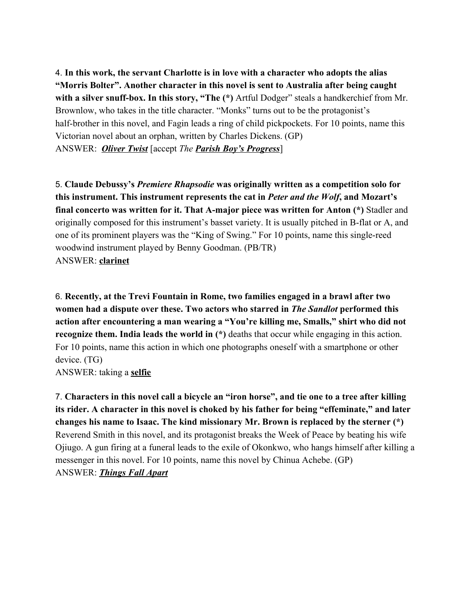4. **In this work, the servant Charlotte is in love with a character who adopts the alias "Morris Bolter". Another character in this novel is sent to Australia after being caught** with a silver snuff-box. In this story, "The (\*) Artful Dodger" steals a handkerchief from Mr. Brownlow, who takes in the title character. "Monks" turns out to be the protagonist's half-brother in this novel, and Fagin leads a ring of child pickpockets. For 10 points, name this Victorian novel about an orphan, written by Charles Dickens. (GP) ANSWER: *Oliver Twist* [accept *The Parish Boy's Progress*]

5. **Claude Debussy's** *Premiere Rhapsodie* **was originally written as a competition solo for this instrument. This instrument represents the cat in** *Peter and the Wolf***, and Mozart's final concerto was written for it. That A-major piece was written for Anton (\*)** Stadler and originally composed for this instrument's basset variety. It is usually pitched in B-flat or A, and one of its prominent players was the "King of Swing." For 10 points, name this single-reed woodwind instrument played by Benny Goodman. (PB/TR) ANSWER: **clarinet**

6. **Recently, at the Trevi Fountain in Rome, two families engaged in a brawl after two women had a dispute over these. Two actors who starred in** *The Sandlot* **performed this action after encountering a man wearing a "You're killing me, Smalls," shirt who did not recognize them. India leads the world in (\*)** deaths that occur while engaging in this action. For 10 points, name this action in which one photographs oneself with a smartphone or other device. (TG)

ANSWER: taking a **selfie**

7. **Characters in this novel call a bicycle an "iron horse", and tie one to a tree after killing its rider. A character in this novel is choked by his father for being "effeminate," and later changes his name to Isaac. The kind missionary Mr. Brown is replaced by the sterner (\*)** Reverend Smith in this novel, and its protagonist breaks the Week of Peace by beating his wife Ojiugo. A gun firing at a funeral leads to the exile of Okonkwo, who hangs himself after killing a messenger in this novel. For 10 points, name this novel by Chinua Achebe. (GP) ANSWER: *Things Fall Apart*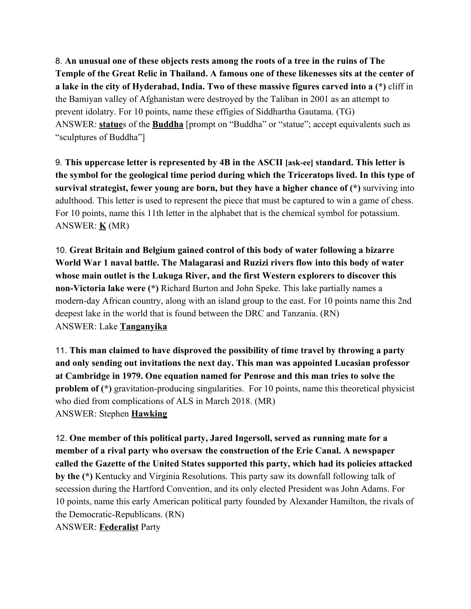8. **An unusual one of these objects rests among the roots of a tree in the ruins of The Temple of the Great Relic in Thailand. A famous one of these likenesses sits at the center of a lake in the city of Hyderabad, India. Two of these massive figures carved into a (\*)** cliff in the Bamiyan valley of Afghanistan were destroyed by the Taliban in 2001 as an attempt to prevent idolatry. For 10 points, name these effigies of Siddhartha Gautama. (TG) ANSWER: **statue**s of the **Buddha** [prompt on "Buddha" or "statue"; accept equivalents such as "sculptures of Buddha"]

9. **This uppercase letter is represented by 4B in the ASCII [ask-ee] standard. This letter is the symbol for the geological time period during which the Triceratops lived. In this type of survival strategist, fewer young are born, but they have a higher chance of (\*)** surviving into adulthood. This letter is used to represent the piece that must be captured to win a game of chess. For 10 points, name this 11th letter in the alphabet that is the chemical symbol for potassium. ANSWER: **K** (MR)

10. **Great Britain and Belgium gained control of this body of water following a bizarre World War 1 naval battle. The Malagarasi and Ruzizi rivers flow into this body of water whose main outlet is the Lukuga River, and the first Western explorers to discover this non-Victoria lake were (\*)** Richard Burton and John Speke. This lake partially names a modern-day African country, along with an island group to the east. For 10 points name this 2nd deepest lake in the world that is found between the DRC and Tanzania. (RN) ANSWER: Lake **Tanganyika**

11. **This man claimed to have disproved the possibility of time travel by throwing a party and only sending out invitations the next day. This man was appointed Lucasian professor at Cambridge in 1979. One equation named for Penrose and this man tries to solve the problem of (\*)** gravitation-producing singularities. For 10 points, name this theoretical physicist who died from complications of ALS in March 2018. (MR) ANSWER: Stephen **Hawking**

12. **One member of this political party, Jared Ingersoll, served as running mate for a member of a rival party who oversaw the construction of the Erie Canal. A newspaper called the Gazette of the United States supported this party, which had its policies attacked by the (\*)** Kentucky and Virginia Resolutions. This party saw its downfall following talk of secession during the Hartford Convention, and its only elected President was John Adams. For 10 points, name this early American political party founded by Alexander Hamilton, the rivals of the Democratic-Republicans. (RN) ANSWER: **Federalist** Party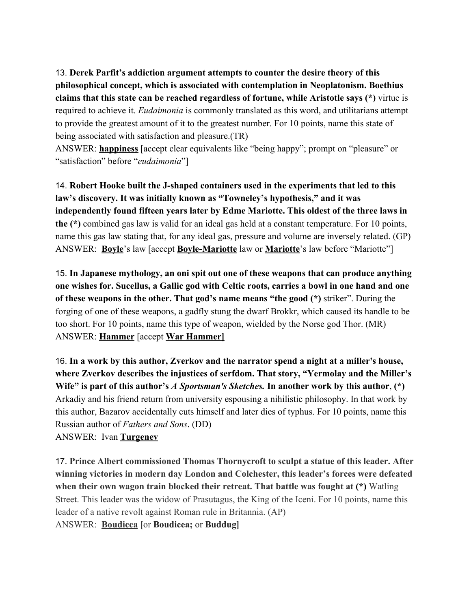13. **Derek Parfit's addiction argument attempts to counter the desire theory of this philosophical concept, which is associated with contemplation in Neoplatonism. Boethius claims that this state can be reached regardless of fortune, while Aristotle says (\*)** virtue is required to achieve it. *Eudaimonia* is commonly translated as this word, and utilitarians attempt to provide the greatest amount of it to the greatest number. For 10 points, name this state of being associated with satisfaction and pleasure.(TR)

ANSWER: **happiness** [accept clear equivalents like "being happy"; prompt on "pleasure" or "satisfaction" before "*eudaimonia*"]

14. **Robert Hooke built the J-shaped containers used in the experiments that led to this law's discovery. It was initially known as "Towneley's hypothesis," and it was independently found fifteen years later by Edme Mariotte. This oldest of the three laws in the (\*)** combined gas law is valid for an ideal gas held at a constant temperature. For 10 points, name this gas law stating that, for any ideal gas, pressure and volume are inversely related. (GP) ANSWER: **Boyle**'s law [accept **Boyle-Mariotte** law or **Mariotte**'s law before "Mariotte"]

15. **In Japanese mythology, an oni spit out one of these weapons that can produce anything one wishes for. Sucellus, a Gallic god with Celtic roots, carries a bowl in one hand and one of these weapons in the other. That god's name means "the good (\*)** striker". During the forging of one of these weapons, a gadfly stung the dwarf Brokkr, which caused its handle to be too short. For 10 points, name this type of weapon, wielded by the Norse god Thor. (MR) ANSWER: **Hammer** [accept **War Hammer]**

16. **In a work by this author, Zverkov and the narrator spend a night at a miller's house, where Zverkov describes the injustices of serfdom. That story, "Yermolay and the Miller's Wife" is part of this author's** *A Sportsman's Sketches.* **In another work by this author**, **(\*)** Arkadiy and his friend return from university espousing a nihilistic philosophy. In that work by this author, Bazarov accidentally cuts himself and later dies of typhus. For 10 points, name this Russian author of *Fathers and Sons*. (DD) ANSWER: Ivan **Turgenev**

17. **Prince Albert commissioned Thomas Thornycroft to sculpt a statue of this leader. After winning victories in modern day London and Colchester, this leader's forces were defeated when their own wagon train blocked their retreat. That battle was fought at (\*)** Watling Street. This leader was the widow of Prasutagus, the King of the Iceni. For 10 points, name this leader of a native revolt against Roman rule in Britannia. (AP) ANSWER: **Boudicca [**or **Boudicea;** or **Buddug]**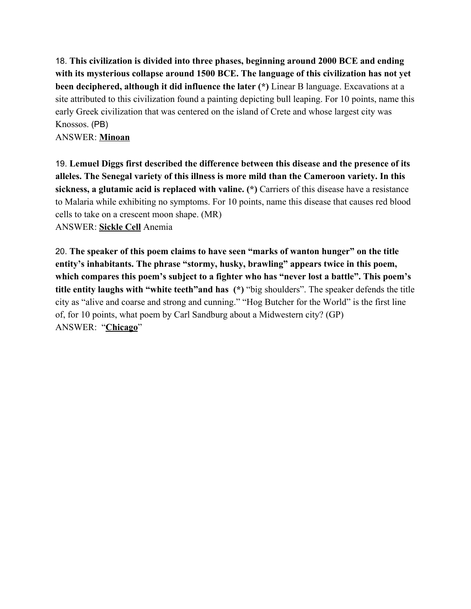18. **This civilization is divided into three phases, beginning around 2000 BCE and ending with its mysterious collapse around 1500 BCE. The language of this civilization has not yet been deciphered, although it did influence the later (\*)** Linear B language. Excavations at a site attributed to this civilization found a painting depicting bull leaping. For 10 points, name this early Greek civilization that was centered on the island of Crete and whose largest city was Knossos. (PB)

ANSWER: **Minoan**

19. **Lemuel Diggs first described the difference between this disease and the presence of its alleles. The Senegal variety of this illness is more mild than the Cameroon variety. In this sickness, a glutamic acid is replaced with valine. (\*)** Carriers of this disease have a resistance to Malaria while exhibiting no symptoms. For 10 points, name this disease that causes red blood cells to take on a crescent moon shape. (MR) ANSWER: **Sickle Cell** Anemia

20. **The speaker of this poem claims to have seen "marks of wanton hunger" on the title entity's inhabitants. The phrase "stormy, husky, brawling" appears twice in this poem, which compares this poem's subject to a fighter who has "never lost a battle". This poem's title entity laughs with "white teeth"and has (\*)** "big shoulders". The speaker defends the title city as "alive and coarse and strong and cunning." "Hog Butcher for the World" is the first line of, for 10 points, what poem by Carl Sandburg about a Midwestern city? (GP) ANSWER: "**Chicago**"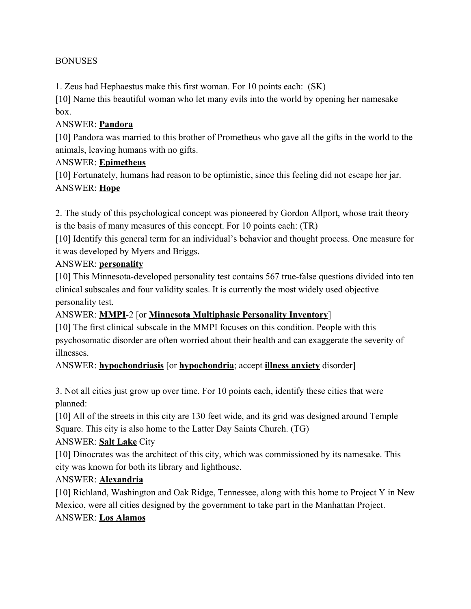#### **BONUSES**

1. Zeus had Hephaestus make this first woman. For 10 points each: (SK)

[10] Name this beautiful woman who let many evils into the world by opening her namesake box.

#### ANSWER: **Pandora**

[10] Pandora was married to this brother of Prometheus who gave all the gifts in the world to the animals, leaving humans with no gifts.

#### ANSWER: **Epimetheus**

[10] Fortunately, humans had reason to be optimistic, since this feeling did not escape her jar. ANSWER: **Hope**

2. The study of this psychological concept was pioneered by Gordon Allport, whose trait theory is the basis of many measures of this concept. For 10 points each: (TR)

[10] Identify this general term for an individual's behavior and thought process. One measure for it was developed by Myers and Briggs.

#### ANSWER: **personality**

[10] This Minnesota-developed personality test contains 567 true-false questions divided into ten clinical subscales and four validity scales. It is currently the most widely used objective personality test.

#### ANSWER: **MMPI**-2 [or **Minnesota Multiphasic Personality Inventory**]

[10] The first clinical subscale in the MMPI focuses on this condition. People with this psychosomatic disorder are often worried about their health and can exaggerate the severity of illnesses.

ANSWER: **hypochondriasis** [or **hypochondria**; accept **illness anxiety** disorder]

3. Not all cities just grow up over time. For 10 points each, identify these cities that were planned:

[10] All of the streets in this city are 130 feet wide, and its grid was designed around Temple Square. This city is also home to the Latter Day Saints Church. (TG)

#### ANSWER: **Salt Lake** City

[10] Dinocrates was the architect of this city, which was commissioned by its namesake. This city was known for both its library and lighthouse.

#### ANSWER: **Alexandria**

[10] Richland, Washington and Oak Ridge, Tennessee, along with this home to Project Y in New Mexico, were all cities designed by the government to take part in the Manhattan Project. ANSWER: **Los Alamos**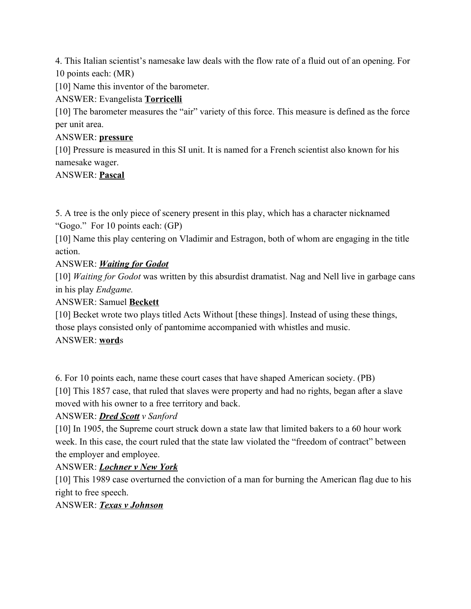4. This Italian scientist's namesake law deals with the flow rate of a fluid out of an opening. For 10 points each: (MR)

[10] Name this inventor of the barometer.

## ANSWER: Evangelista **Torricelli**

[10] The barometer measures the "air" variety of this force. This measure is defined as the force per unit area.

#### ANSWER: **pressure**

[10] Pressure is measured in this SI unit. It is named for a French scientist also known for his namesake wager.

#### ANSWER: **Pascal**

5. A tree is the only piece of scenery present in this play, which has a character nicknamed "Gogo." For 10 points each: (GP)

[10] Name this play centering on Vladimir and Estragon, both of whom are engaging in the title action.

## ANSWER: *Waiting for Godot*

[10] *Waiting for Godot* was written by this absurdist dramatist. Nag and Nell live in garbage cans in his play *Endgame.*

ANSWER: Samuel **Beckett**

[10] Becket wrote two plays titled Acts Without [these things]. Instead of using these things, those plays consisted only of pantomime accompanied with whistles and music.

#### ANSWER: **word**s

6. For 10 points each, name these court cases that have shaped American society. (PB) [10] This 1857 case, that ruled that slaves were property and had no rights, began after a slave moved with his owner to a free territory and back.

## ANSWER: *Dred Scott v Sanford*

[10] In 1905, the Supreme court struck down a state law that limited bakers to a 60 hour work week. In this case, the court ruled that the state law violated the "freedom of contract" between the employer and employee.

#### ANSWER: *Lochner v New York*

[10] This 1989 case overturned the conviction of a man for burning the American flag due to his right to free speech.

#### ANSWER: *Texas v Johnson*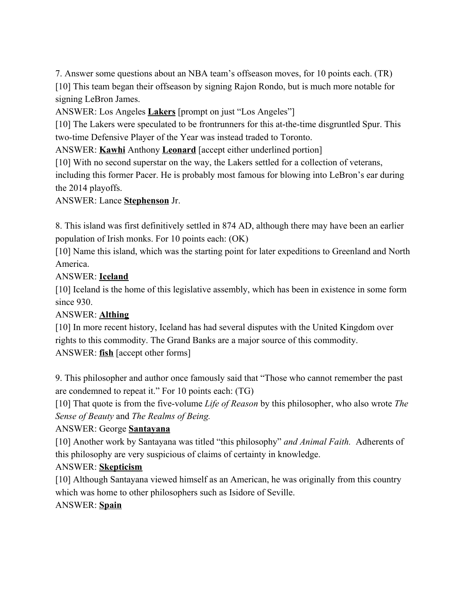7. Answer some questions about an NBA team's offseason moves, for 10 points each. (TR) [10] This team began their offseason by signing Rajon Rondo, but is much more notable for signing LeBron James.

ANSWER: Los Angeles **Lakers** [prompt on just "Los Angeles"]

[10] The Lakers were speculated to be frontrunners for this at-the-time disgruntled Spur. This two-time Defensive Player of the Year was instead traded to Toronto.

ANSWER: **Kawhi** Anthony **Leonard** [accept either underlined portion]

[10] With no second superstar on the way, the Lakers settled for a collection of veterans,

including this former Pacer. He is probably most famous for blowing into LeBron's ear during the 2014 playoffs.

ANSWER: Lance **Stephenson** Jr.

8. This island was first definitively settled in 874 AD, although there may have been an earlier population of Irish monks. For 10 points each: (OK)

[10] Name this island, which was the starting point for later expeditions to Greenland and North America.

## ANSWER: **Iceland**

[10] Iceland is the home of this legislative assembly, which has been in existence in some form since 930.

## ANSWER: **Althing**

[10] In more recent history, Iceland has had several disputes with the United Kingdom over rights to this commodity. The Grand Banks are a major source of this commodity. ANSWER: **fish** [accept other forms]

9. This philosopher and author once famously said that "Those who cannot remember the past are condemned to repeat it." For 10 points each: (TG)

[10] That quote is from the five-volume *Life of Reason* by this philosopher, who also wrote *The Sense of Beauty* and *The Realms of Being.*

## ANSWER: George **Santayana**

[10] Another work by Santayana was titled "this philosophy" *and Animal Faith.* Adherents of this philosophy are very suspicious of claims of certainty in knowledge.

## ANSWER: **Skepticism**

[10] Although Santayana viewed himself as an American, he was originally from this country which was home to other philosophers such as Isidore of Seville.

## ANSWER: **Spain**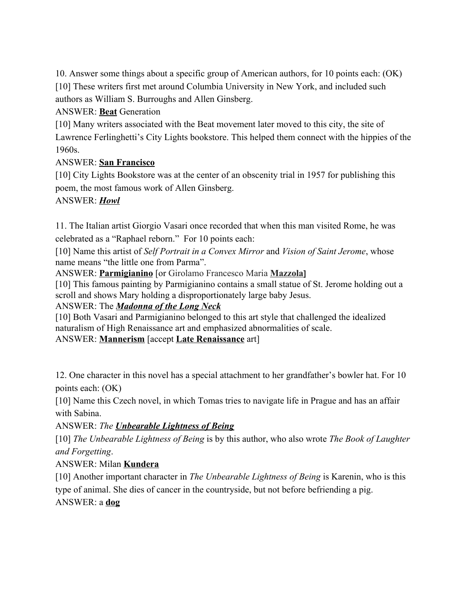10. Answer some things about a specific group of American authors, for 10 points each: (OK) [10] These writers first met around Columbia University in New York, and included such authors as William S. Burroughs and Allen Ginsberg.

ANSWER: **Beat** Generation

[10] Many writers associated with the Beat movement later moved to this city, the site of Lawrence Ferlinghetti's City Lights bookstore. This helped them connect with the hippies of the 1960s.

## ANSWER: **San Francisco**

[10] City Lights Bookstore was at the center of an obscenity trial in 1957 for publishing this poem, the most famous work of Allen Ginsberg.

## ANSWER: *Howl*

11. The Italian artist Giorgio Vasari once recorded that when this man visited Rome, he was celebrated as a "Raphael reborn." For 10 points each:

[10] Name this artist of *Self Portrait in a Convex Mirror* and *Vision of Saint Jerome*, whose name means "the little one from Parma".

ANSWER: **Parmigianino** [or Girolamo Francesco Maria **Mazzola]**

[10] This famous painting by Parmigianino contains a small statue of St. Jerome holding out a scroll and shows Mary holding a disproportionately large baby Jesus.

ANSWER: The *Madonna of the Long Neck*

[10] Both Vasari and Parmigianino belonged to this art style that challenged the idealized naturalism of High Renaissance art and emphasized abnormalities of scale. ANSWER: **Mannerism** [accept **Late Renaissance** art]

12. One character in this novel has a special attachment to her grandfather's bowler hat. For 10 points each: (OK)

[10] Name this Czech novel, in which Tomas tries to navigate life in Prague and has an affair with Sabina.

ANSWER: *The Unbearable Lightness of Being*

[10] *The Unbearable Lightness of Being* is by this author, who also wrote *The Book of Laughter and Forgetting*.

## ANSWER: Milan **Kundera**

[10] Another important character in *The Unbearable Lightness of Being* is Karenin, who is this type of animal. She dies of cancer in the countryside, but not before befriending a pig. ANSWER: a **dog**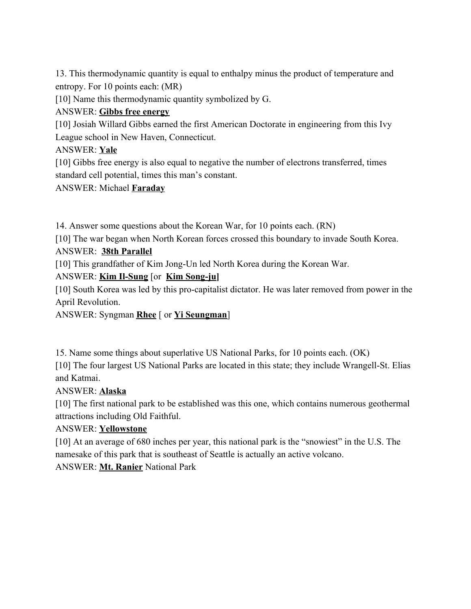13. This thermodynamic quantity is equal to enthalpy minus the product of temperature and entropy. For 10 points each: (MR)

[10] Name this thermodynamic quantity symbolized by G.

## ANSWER: **Gibbs free energy**

[10] Josiah Willard Gibbs earned the first American Doctorate in engineering from this Ivy League school in New Haven, Connecticut.

ANSWER: **Yale**

[10] Gibbs free energy is also equal to negative the number of electrons transferred, times standard cell potential, times this man's constant.

ANSWER: Michael **Faraday**

14. Answer some questions about the Korean War, for 10 points each. (RN)

[10] The war began when North Korean forces crossed this boundary to invade South Korea. ANSWER: **38th Parallel**

[10] This grandfather of Kim Jong-Un led North Korea during the Korean War.

# ANSWER: **Kim Il-Sung** [or **Kim Song-ju]**

[10] South Korea was led by this pro-capitalist dictator. He was later removed from power in the April Revolution.

ANSWER: Syngman **Rhee** [ or **Yi Seungman**]

15. Name some things about superlative US National Parks, for 10 points each. (OK)

[10] The four largest US National Parks are located in this state; they include Wrangell-St. Elias and Katmai.

## ANSWER: **Alaska**

[10] The first national park to be established was this one, which contains numerous geothermal attractions including Old Faithful.

## ANSWER: **Yellowstone**

[10] At an average of 680 inches per year, this national park is the "snowiest" in the U.S. The namesake of this park that is southeast of Seattle is actually an active volcano. ANSWER: **Mt. Ranier** National Park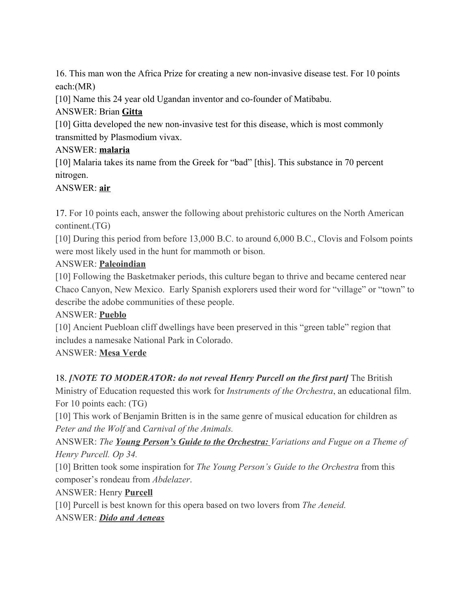16. This man won the Africa Prize for creating a new non-invasive disease test. For 10 points each:(MR)

[10] Name this 24 year old Ugandan inventor and co-founder of Matibabu.

# ANSWER: Brian **Gitta**

[10] Gitta developed the new non-invasive test for this disease, which is most commonly transmitted by Plasmodium vivax.

# ANSWER: **malaria**

[10] Malaria takes its name from the Greek for "bad" [this]. This substance in 70 percent nitrogen.

## ANSWER: **air**

17. For 10 points each, answer the following about prehistoric cultures on the North American continent.(TG)

[10] During this period from before 13,000 B.C. to around 6,000 B.C., Clovis and Folsom points were most likely used in the hunt for mammoth or bison.

# ANSWER: **Paleoindian**

[10] Following the Basketmaker periods, this culture began to thrive and became centered near Chaco Canyon, New Mexico. Early Spanish explorers used their word for "village" or "town" to describe the adobe communities of these people.

# ANSWER: **Pueblo**

[10] Ancient Puebloan cliff dwellings have been preserved in this "green table" region that includes a namesake National Park in Colorado.

# ANSWER: **Mesa Verde**

# 18. *[NOTE TO MODERATOR: do not reveal Henry Purcell on the first part]* The British

Ministry of Education requested this work for *Instruments of the Orchestra*, an educational film. For 10 points each: (TG)

[10] This work of Benjamin Britten is in the same genre of musical education for children as *Peter and the Wolf* and *Carnival of the Animals.*

ANSWER: *The Young Person's Guide to the Orchestra: Variations and Fugue on a Theme of Henry Purcell. Op 34.*

[10] Britten took some inspiration for *The Young Person's Guide to the Orchestra* from this composer's rondeau from *Abdelazer*.

# ANSWER: Henry **Purcell**

[10] Purcell is best known for this opera based on two lovers from *The Aeneid.*

## ANSWER: *Dido and Aeneas*